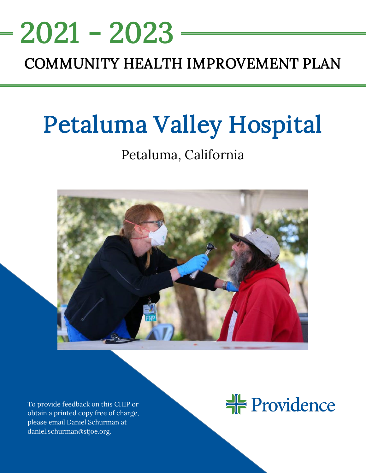# <u>NEEDS ASSESSMENT ASSESSMENT ASSESS</u> COMMUNITY HEALTH IMPROVEMENT PLAN 2021 - 2023

# Petaluma Valley Hospital

# Petaluma, California



To provide feedback on this CHIP or obtain a printed copy free of charge, please email Daniel Schurman at daniel.schurman@stjoe.org.

#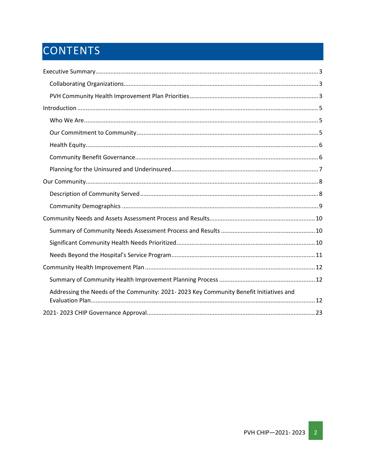# CONTENTS

| Addressing the Needs of the Community: 2021-2023 Key Community Benefit Initiatives and |
|----------------------------------------------------------------------------------------|
|                                                                                        |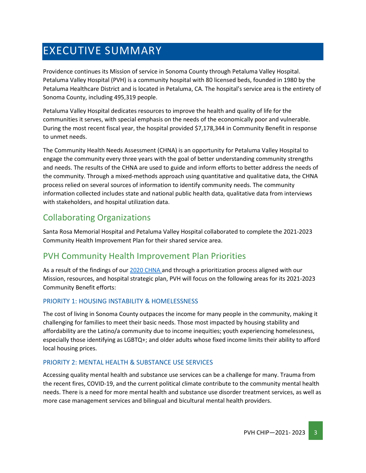# <span id="page-2-0"></span>EXECUTIVE SUMMARY

Providence continues its Mission of service in Sonoma County through Petaluma Valley Hospital. Petaluma Valley Hospital (PVH) is a community hospital with 80 licensed beds, founded in 1980 by the Petaluma Healthcare District and is located in Petaluma, CA. The hospital's service area is the entirety of Sonoma County, including 495,319 people.

Petaluma Valley Hospital dedicates resources to improve the health and quality of life for the communities it serves, with special emphasis on the needs of the economically poor and vulnerable. During the most recent fiscal year, the hospital provided \$7,178,344 in Community Benefit in response to unmet needs.

The Community Health Needs Assessment (CHNA) is an opportunity for Petaluma Valley Hospital to engage the community every three years with the goal of better understanding community strengths and needs. The results of the CHNA are used to guide and inform efforts to better address the needs of the community. Through a mixed-methods approach using quantitative and qualitative data, the CHNA process relied on several sources of information to identify community needs. The community information collected includes state and national public health data, qualitative data from interviews with stakeholders, and hospital utilization data.

# <span id="page-2-1"></span>Collaborating Organizations

Santa Rosa Memorial Hospital and Petaluma Valley Hospital collaborated to complete the 2021-2023 Community Health Improvement Plan for their shared service area.

### <span id="page-2-2"></span>PVH Community Health Improvement Plan Priorities

As a result of the findings of our [2020 CHNA](https://www.providence.org/about/annual-report/chna-and-chip-reports) and through a prioritization process aligned with our Mission, resources, and hospital strategic plan, PVH will focus on the following areas for its 2021-2023 Community Benefit efforts:

#### PRIORITY 1: HOUSING INSTABILITY & HOMELESSNESS

The cost of living in Sonoma County outpaces the income for many people in the community, making it challenging for families to meet their basic needs. Those most impacted by housing stability and affordability are the Latino/a community due to income inequities; youth experiencing homelessness, especially those identifying as LGBTQ+; and older adults whose fixed income limits their ability to afford local housing prices.

#### PRIORITY 2: MENTAL HEALTH & SUBSTANCE USE SERVICES

Accessing quality mental health and substance use services can be a challenge for many. Trauma from the recent fires, COVID-19, and the current political climate contribute to the community mental health needs. There is a need for more mental health and substance use disorder treatment services, as well as more case management services and bilingual and bicultural mental health providers.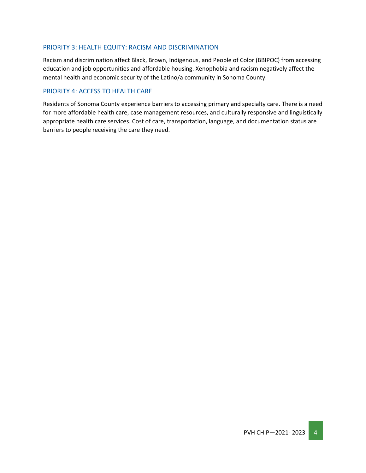#### PRIORITY 3: HEALTH EQUITY: RACISM AND DISCRIMINATION

Racism and discrimination affect Black, Brown, Indigenous, and People of Color (BBIPOC) from accessing education and job opportunities and affordable housing. Xenophobia and racism negatively affect the mental health and economic security of the Latino/a community in Sonoma County.

#### PRIORITY 4: ACCESS TO HEALTH CARE

Residents of Sonoma County experience barriers to accessing primary and specialty care. There is a need for more affordable health care, case management resources, and culturally responsive and linguistically appropriate health care services. Cost of care, transportation, language, and documentation status are barriers to people receiving the care they need.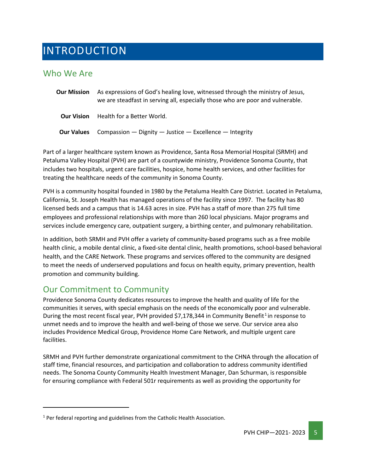# <span id="page-4-0"></span>INTRODUCTION

### <span id="page-4-1"></span>Who We Are

| <b>Our Mission</b> | As expressions of God's healing love, witnessed through the ministry of Jesus,<br>we are steadfast in serving all, especially those who are poor and vulnerable. |
|--------------------|------------------------------------------------------------------------------------------------------------------------------------------------------------------|
| <b>Our Vision</b>  | Health for a Better World.                                                                                                                                       |
| <b>Our Values</b>  | Compassion — Dignity — Justice — Excellence — Integrity                                                                                                          |

Part of a larger healthcare system known as Providence, Santa Rosa Memorial Hospital (SRMH) and Petaluma Valley Hospital (PVH) are part of a countywide ministry, Providence Sonoma County, that includes two hospitals, urgent care facilities, hospice, home health services, and other facilities for treating the healthcare needs of the community in Sonoma County.

PVH is a community hospital founded in 1980 by the Petaluma Health Care District. Located in Petaluma, California, St. Joseph Health has managed operations of the facility since 1997. The facility has 80 licensed beds and a campus that is 14.63 acres in size. PVH has a staff of more than 275 full time employees and professional relationships with more than 260 local physicians. Major programs and services include emergency care, outpatient surgery, a birthing center, and pulmonary rehabilitation.

In addition, both SRMH and PVH offer a variety of community-based programs such as a free mobile health clinic, a mobile dental clinic, a fixed-site dental clinic, health promotions, school-based behavioral health, and the CARE Network. These programs and services offered to the community are designed to meet the needs of underserved populations and focus on health equity, primary prevention, health promotion and community building.

### <span id="page-4-2"></span>Our Commitment to Community

Providence Sonoma County dedicates resources to improve the health and quality of life for the communities it serves, with special emphasis on the needs of the economically poor and vulnerable. During the most recent fiscal year, PVH provided \$7,[1](#page-4-3)78,344 in Community Benefit<sup>1</sup> in response to unmet needs and to improve the health and well-being of those we serve. Our service area also includes Providence Medical Group, Providence Home Care Network, and multiple urgent care facilities.

SRMH and PVH further demonstrate organizational commitment to the CHNA through the allocation of staff time, financial resources, and participation and collaboration to address community identified needs. The Sonoma County Community Health Investment Manager, Dan Schurman, is responsible for ensuring compliance with Federal 501r requirements as well as providing the opportunity for

<span id="page-4-3"></span> $1$  Per federal reporting and guidelines from the Catholic Health Association.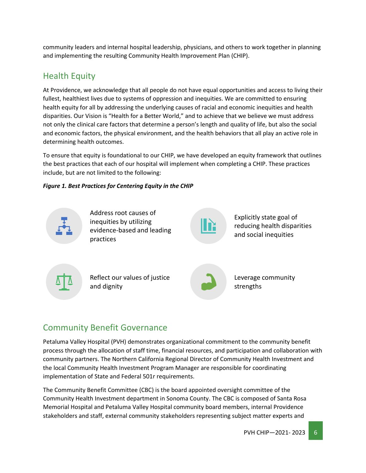community leaders and internal hospital leadership, physicians, and others to work together in planning and implementing the resulting Community Health Improvement Plan (CHIP).

## <span id="page-5-0"></span>Health Equity

At Providence, we acknowledge that all people do not have equal opportunities and access to living their fullest, healthiest lives due to systems of oppression and inequities. We are committed to ensuring health equity for all by addressing the underlying causes of racial and economic inequities and health disparities. Our Vision is "Health for a Better World," and to achieve that we believe we must address not only the clinical care factors that determine a person's length and quality of life, but also the social and economic factors, the physical environment, and the health behaviors that all play an active role in determining health outcomes.

To ensure that equity is foundational to our CHIP, we have developed an equity framework that outlines the best practices that each of our hospital will implement when completing a CHIP. These practices include, but are not limited to the following:

#### *Figure 1. Best Practices for Centering Equity in the CHIP*



# <span id="page-5-1"></span>Community Benefit Governance

Petaluma Valley Hospital (PVH) demonstrates organizational commitment to the community benefit process through the allocation of staff time, financial resources, and participation and collaboration with community partners. The Northern California Regional Director of Community Health Investment and the local Community Health Investment Program Manager are responsible for coordinating implementation of State and Federal 501r requirements.

The Community Benefit Committee (CBC) is the board appointed oversight committee of the Community Health Investment department in Sonoma County. The CBC is composed of Santa Rosa Memorial Hospital and Petaluma Valley Hospital community board members, internal Providence stakeholders and staff, external community stakeholders representing subject matter experts and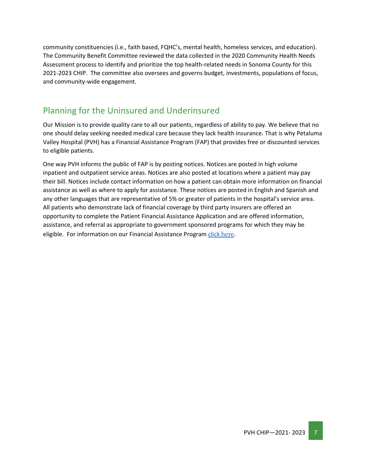community constituencies (i.e., faith based, FQHC's, mental health, homeless services, and education). The Community Benefit Committee reviewed the data collected in the 2020 Community Health Needs Assessment process to identify and prioritize the top health-related needs in Sonoma County for this 2021-2023 CHIP. The committee also oversees and governs budget, investments, populations of focus, and community-wide engagement.

### <span id="page-6-0"></span>Planning for the Uninsured and Underinsured

Our Mission is to provide quality care to all our patients, regardless of ability to pay. We believe that no one should delay seeking needed medical care because they lack health insurance. That is why Petaluma Valley Hospital (PVH) has a Financial Assistance Program (FAP) that provides free or discounted services to eligible patients.

One way PVH informs the public of FAP is by posting notices. Notices are posted in high volume inpatient and outpatient service areas. Notices are also posted at locations where a patient may pay their bill. Notices include contact information on how a patient can obtain more information on financial assistance as well as where to apply for assistance. These notices are posted in English and Spanish and any other languages that are representative of 5% or greater of patients in the hospital's service area. All patients who demonstrate lack of financial coverage by third party insurers are offered an opportunity to complete the Patient Financial Assistance Application and are offered information, assistance, and referral as appropriate to government sponsored programs for which they may be eligible. For information on our Financial Assistance Program [click](https://www.stjosephhealth.org/patients-visitors/billing-payment/) [here](https://www.stjosephhealth.org/patients-visitors/billing-payment/).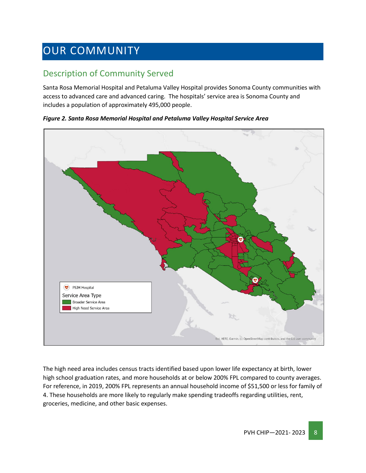# <span id="page-7-0"></span>OUR COMMUNITY

# <span id="page-7-1"></span>Description of Community Served

Santa Rosa Memorial Hospital and Petaluma Valley Hospital provides Sonoma County communities with access to advanced care and advanced caring. The hospitals' service area is Sonoma County and includes a population of approximately 495,000 people.

*Figure 2. Santa Rosa Memorial Hospital and Petaluma Valley Hospital Service Area*



The high need area includes census tracts identified based upon lower life expectancy at birth, lower high school graduation rates, and more households at or below 200% FPL compared to county averages. For reference, in 2019, 200% FPL represents an annual household income of \$51,500 or less for family of 4. These households are more likely to regularly make spending tradeoffs regarding utilities, rent, groceries, medicine, and other basic expenses.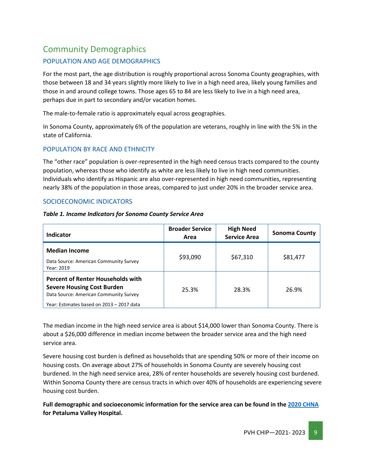# <span id="page-8-0"></span>Community Demographics

#### POPULATION AND AGE DEMOGRAPHICS

For the most part, the age distribution is roughly proportional across Sonoma County geographies, with those between 18 and 34 years slightly more likely to live in a high need area, likely young families and those in and around college towns. Those ages 65 to 84 are less likely to live in a high need area, perhaps due in part to secondary and/or vacation homes.

The male-to-female ratio is approximately equal across geographies.

In Sonoma County, approximately 6% of the population are veterans, roughly in line with the 5% in the state of California.

#### POPULATION BY RACE AND ETHNICITY

The "other race" population is over-represented in the high need census tracts compared to the county population, whereas those who identify as white are less likely to live in high need communities. Individuals who identify as Hispanic are also over-represented in high need communities, representing nearly 38% of the population in those areas, compared to just under 20% in the broader service area.

#### SOCIOECONOMIC INDICATORS

| Table 1. Income Indicators for Sonoma County Service Area |  |  |  |
|-----------------------------------------------------------|--|--|--|
|                                                           |  |  |  |

| Indicator                                                                                                                                                            | <b>Broader Service</b><br>Area | <b>High Need</b><br><b>Service Area</b> | <b>Sonoma County</b> |
|----------------------------------------------------------------------------------------------------------------------------------------------------------------------|--------------------------------|-----------------------------------------|----------------------|
| <b>Median Income</b><br>Data Source: American Community Survey<br>Year: 2019                                                                                         | \$93,090                       | \$67,310                                | \$81,477             |
| <b>Percent of Renter Households with</b><br><b>Severe Housing Cost Burden</b><br>Data Source: American Community Survey<br>Year: Estimates based on 2013 - 2017 data | 25.3%                          | 28.3%                                   | 26.9%                |

The median income in the high need service area is about \$14,000 lower than Sonoma County. There is about a \$26,000 difference in median income between the broader service area and the high need service area.

Severe housing cost burden is defined as households that are spending 50% or more of their income on housing costs. On average about 27% of households in Sonoma County are severely housing cost burdened. In the high need service area, 28% of renter households are severely housing cost burdened. Within Sonoma County there are census tracts in which over 40% of households are experiencing severe housing cost burden.

**Full demographic and socioeconomic information for the service area can be found in the [2020 CHNA](https://www.providence.org/about/annual-report/chna-and-chip-reports) for Petaluma Valley Hospital.**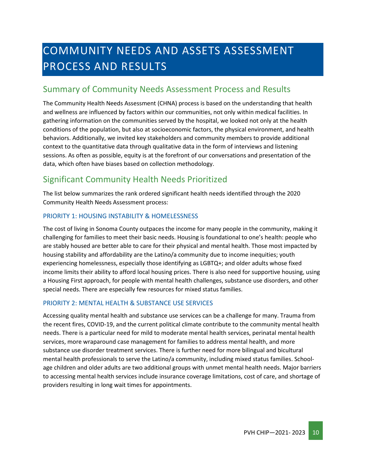# <span id="page-9-0"></span>COMMUNITY NEEDS AND ASSETS ASSESSMENT PROCESS AND RESULTS

### <span id="page-9-1"></span>Summary of Community Needs Assessment Process and Results

The Community Health Needs Assessment (CHNA) process is based on the understanding that health and wellness are influenced by factors within our communities, not only within medical facilities. In gathering information on the communities served by the hospital, we looked not only at the health conditions of the population, but also at socioeconomic factors, the physical environment, and health behaviors. Additionally, we invited key stakeholders and community members to provide additional context to the quantitative data through qualitative data in the form of interviews and listening sessions. As often as possible, equity is at the forefront of our conversations and presentation of the data, which often have biases based on collection methodology.

### <span id="page-9-2"></span>Significant Community Health Needs Prioritized

The list below summarizes the rank ordered significant health needs identified through the 2020 Community Health Needs Assessment process:

#### PRIORITY 1: HOUSING INSTABILITY & HOMELESSNESS

The cost of living in Sonoma County outpaces the income for many people in the community, making it challenging for families to meet their basic needs. Housing is foundational to one's health: people who are stably housed are better able to care for their physical and mental health. Those most impacted by housing stability and affordability are the Latino/a community due to income inequities; youth experiencing homelessness, especially those identifying as LGBTQ+; and older adults whose fixed income limits their ability to afford local housing prices. There is also need for supportive housing, using a Housing First approach, for people with mental health challenges, substance use disorders, and other special needs. There are especially few resources for mixed status families.

#### PRIORITY 2: MENTAL HEALTH & SUBSTANCE USE SERVICES

Accessing quality mental health and substance use services can be a challenge for many. Trauma from the recent fires, COVID-19, and the current political climate contribute to the community mental health needs. There is a particular need for mild to moderate mental health services, perinatal mental health services, more wraparound case management for families to address mental health, and more substance use disorder treatment services. There is further need for more bilingual and bicultural mental health professionals to serve the Latino/a community, including mixed status families. Schoolage children and older adults are two additional groups with unmet mental health needs. Major barriers to accessing mental health services include insurance coverage limitations, cost of care, and shortage of providers resulting in long wait times for appointments.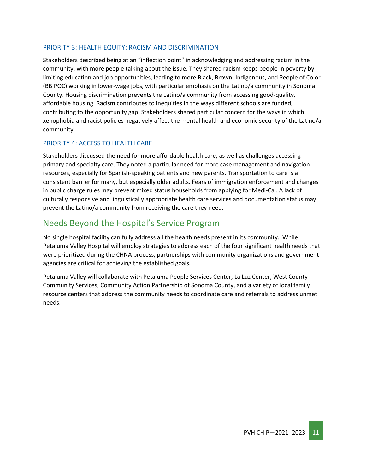#### PRIORITY 3: HEALTH EQUITY: RACISM AND DISCRIMINATION

Stakeholders described being at an "inflection point" in acknowledging and addressing racism in the community, with more people talking about the issue. They shared racism keeps people in poverty by limiting education and job opportunities, leading to more Black, Brown, Indigenous, and People of Color (BBIPOC) working in lower-wage jobs, with particular emphasis on the Latino/a community in Sonoma County. Housing discrimination prevents the Latino/a community from accessing good-quality, affordable housing. Racism contributes to inequities in the ways different schools are funded, contributing to the opportunity gap. Stakeholders shared particular concern for the ways in which xenophobia and racist policies negatively affect the mental health and economic security of the Latino/a community.

#### PRIORITY 4: ACCESS TO HEALTH CARE

Stakeholders discussed the need for more affordable health care, as well as challenges accessing primary and specialty care. They noted a particular need for more case management and navigation resources, especially for Spanish-speaking patients and new parents. Transportation to care is a consistent barrier for many, but especially older adults. Fears of immigration enforcement and changes in public charge rules may prevent mixed status households from applying for Medi-Cal. A lack of culturally responsive and linguistically appropriate health care services and documentation status may prevent the Latino/a community from receiving the care they need.

### <span id="page-10-0"></span>Needs Beyond the Hospital's Service Program

No single hospital facility can fully address all the health needs present in its community. While Petaluma Valley Hospital will employ strategies to address each of the four significant health needs that were prioritized during the CHNA process, partnerships with community organizations and government agencies are critical for achieving the established goals.

Petaluma Valley will collaborate with Petaluma People Services Center, La Luz Center, West County Community Services, Community Action Partnership of Sonoma County, and a variety of local family resource centers that address the community needs to coordinate care and referrals to address unmet needs.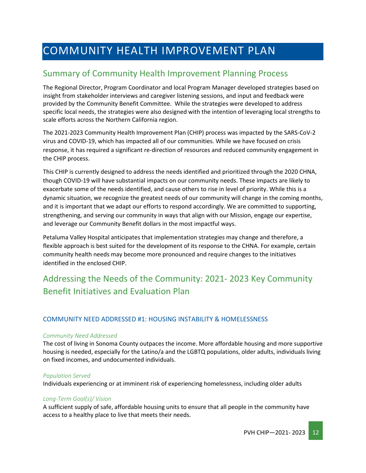# <span id="page-11-0"></span>COMMUNITY HEALTH IMPROVEMENT PLAN

# <span id="page-11-1"></span>Summary of Community Health Improvement Planning Process

The Regional Director, Program Coordinator and local Program Manager developed strategies based on insight from stakeholder interviews and caregiver listening sessions, and input and feedback were provided by the Community Benefit Committee. While the strategies were developed to address specific local needs, the strategies were also designed with the intention of leveraging local strengths to scale efforts across the Northern California region.

The 2021-2023 Community Health Improvement Plan (CHIP) process was impacted by the SARS-CoV-2 virus and COVID-19, which has impacted all of our communities. While we have focused on crisis response, it has required a significant re-direction of resources and reduced community engagement in the CHIP process.

This CHIP is currently designed to address the needs identified and prioritized through the 2020 CHNA, though COVID-19 will have substantial impacts on our community needs. These impacts are likely to exacerbate some of the needs identified, and cause others to rise in level of priority. While this is a dynamic situation, we recognize the greatest needs of our community will change in the coming months, and it is important that we adapt our efforts to respond accordingly. We are committed to supporting, strengthening, and serving our community in ways that align with our Mission, engage our expertise, and leverage our Community Benefit dollars in the most impactful ways.

Petaluma Valley Hospital anticipates that implementation strategies may change and therefore, a flexible approach is best suited for the development of its response to the CHNA. For example, certain community health needs may become more pronounced and require changes to the initiatives identified in the enclosed CHIP.

# <span id="page-11-2"></span>Addressing the Needs of the Community: 2021- 2023 Key Community Benefit Initiatives and Evaluation Plan

#### COMMUNITY NEED ADDRESSED #1: HOUSING INSTABILITY & HOMELESSNESS

#### *Community Need Addressed*

The cost of living in Sonoma County outpaces the income. More affordable housing and more supportive housing is needed, especially for the Latino/a and the LGBTQ populations, older adults, individuals living on fixed incomes, and undocumented individuals.

#### *Population Served*

Individuals experiencing or at imminent risk of experiencing homelessness, including older adults

#### *Long-Term Goal(s)/ Vision*

A sufficient supply of safe, affordable housing units to ensure that all people in the community have access to a healthy place to live that meets their needs.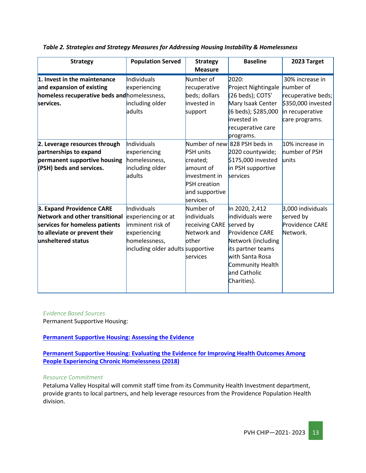| <b>Strategy</b>                                                                                                                                      | <b>Population Served</b>                                                                                                    | <b>Strategy</b><br><b>Measure</b>                                                                                | <b>Baseline</b>                                                                                                                                                        | 2023 Target                                                                   |
|------------------------------------------------------------------------------------------------------------------------------------------------------|-----------------------------------------------------------------------------------------------------------------------------|------------------------------------------------------------------------------------------------------------------|------------------------------------------------------------------------------------------------------------------------------------------------------------------------|-------------------------------------------------------------------------------|
| 1. Invest in the maintenance<br>and expansion of existing                                                                                            | Individuals<br>experiencing                                                                                                 | Number of<br>recuperative                                                                                        | 2020:<br>Project Nightingale                                                                                                                                           | 30% increase in<br>number of                                                  |
| homeless recuperative beds and homelessness,<br>services.                                                                                            | including older<br>adults                                                                                                   | beds; dollars<br>invested in<br>support                                                                          | (26 beds); COTS'<br>Mary Isaak Center<br>(6 beds); \$285,000<br>invested in<br>recuperative care<br>programs.                                                          | recuperative beds;<br>\$350,000 invested<br>in recuperative<br>care programs. |
| 2. Leverage resources through<br>partnerships to expand<br>permanent supportive housing<br>(PSH) beds and services.                                  | Individuals<br>experiencing<br>homelessness,<br>including older<br>adults                                                   | <b>PSH</b> units<br>created;<br>amount of<br>investment in<br><b>PSH</b> creation<br>and supportive<br>services. | Number of new 828 PSH beds in<br>2020 countywide;<br>\$175,000 invested<br>in PSH supportive<br>services                                                               | 10% increase in<br>number of PSH<br>lunits                                    |
| 3. Expand Providence CARE<br>Network and other transitional<br>services for homeless patients<br>to alleviate or prevent their<br>unsheltered status | Individuals<br>experiencing or at<br>imminent risk of<br>experiencing<br>homelessness,<br>including older adults supportive | Number of<br><b>individuals</b><br>receiving CARE served by<br>Network and<br>other<br>services                  | In 2020, 2,412<br>individuals were<br>Providence CARE<br>Network (including<br>its partner teams<br>with Santa Rosa<br>Community Health<br>and Catholic<br>Charities). | 3,000 individuals<br>served by<br>Providence CARE<br>Network.                 |

*Table 2. Strategies and Strategy Measures for Addressing Housing Instability & Homelessness*

#### *Evidence Based Sources*

Permanent Supportive Housing:

#### **[Permanent Supportive Housing: Assessing the Evidence](https://ps.psychiatryonline.org/doi/full/10.1176/appi.ps.201300261)**

**[Permanent Supportive Housing: Evaluating the Evidence for Improving Health Outcomes Among](https://books.google.com/books?hl=en&lr=&id=v-BjDwAAQBAJ&oi=fnd&pg=PR1&dq=evidence-based+best+practices+permanent+supportive+housing&ots=GtL-BO6V4O&sig=b_2OXrwUdXZXvYHWF8ZrYPkFPVg#v=onepage&q=evidence-based%20best%20practices%20permanent%20supportive%20housing&f=false)  [People Experiencing Chronic Homelessness \(2018\)](https://books.google.com/books?hl=en&lr=&id=v-BjDwAAQBAJ&oi=fnd&pg=PR1&dq=evidence-based+best+practices+permanent+supportive+housing&ots=GtL-BO6V4O&sig=b_2OXrwUdXZXvYHWF8ZrYPkFPVg#v=onepage&q=evidence-based%20best%20practices%20permanent%20supportive%20housing&f=false)**

#### *Resource Commitment*

Petaluma Valley Hospital will commit staff time from its Community Health Investment department, provide grants to local partners, and help leverage resources from the Providence Population Health division.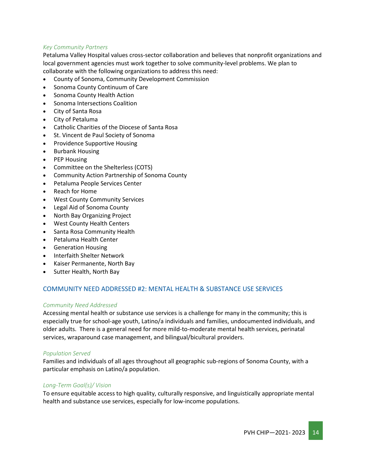#### *Key Community Partners*

Petaluma Valley Hospital values cross-sector collaboration and believes that nonprofit organizations and local government agencies must work together to solve community-level problems. We plan to collaborate with the following organizations to address this need:

- County of Sonoma, Community Development Commission
- Sonoma County Continuum of Care
- Sonoma County Health Action
- Sonoma Intersections Coalition
- City of Santa Rosa
- City of Petaluma
- Catholic Charities of the Diocese of Santa Rosa
- St. Vincent de Paul Society of Sonoma
- Providence Supportive Housing
- Burbank Housing
- PEP Housing
- Committee on the Shelterless (COTS)
- Community Action Partnership of Sonoma County
- Petaluma People Services Center
- Reach for Home
- West County Community Services
- Legal Aid of Sonoma County
- North Bay Organizing Project
- West County Health Centers
- Santa Rosa Community Health
- Petaluma Health Center
- Generation Housing
- Interfaith Shelter Network
- Kaiser Permanente, North Bay
- Sutter Health, North Bay

#### COMMUNITY NEED ADDRESSED #2: MENTAL HEALTH & SUBSTANCE USE SERVICES

#### *Community Need Addressed*

Accessing mental health or substance use services is a challenge for many in the community; this is especially true for school-age youth, Latino/a individuals and families, undocumented individuals, and older adults. There is a general need for more mild-to-moderate mental health services, perinatal services, wraparound case management, and bilingual/bicultural providers.

#### *Population Served*

Families and individuals of all ages throughout all geographic sub-regions of Sonoma County, with a particular emphasis on Latino/a population.

#### *Long-Term Goal(s)/ Vision*

To ensure equitable access to high quality, culturally responsive, and linguistically appropriate mental health and substance use services, especially for low-income populations.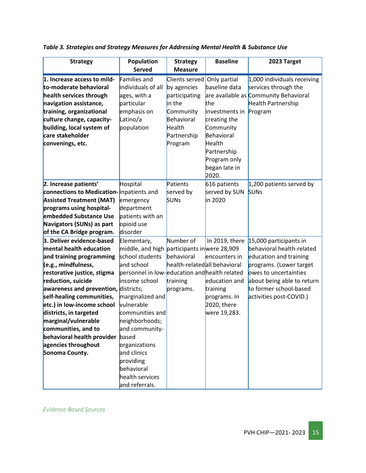| <b>Strategy</b>                      | Population                                    | <b>Strategy</b>              | <b>Baseline</b> | 2023 Target                           |
|--------------------------------------|-----------------------------------------------|------------------------------|-----------------|---------------------------------------|
|                                      | <b>Served</b>                                 | <b>Measure</b>               |                 |                                       |
| 1. Increase access to mild-          | Families and                                  | Clients served               | Only partial    | $1,000$ individuals receiving         |
| to-moderate behavioral               | individuals of all                            | by agencies                  | baseline data   | services through the                  |
| health services through              | ages, with a                                  | participating                |                 | are available as Community Behavioral |
| navigation assistance,               | particular                                    | in the                       | the             | Health Partnership                    |
| training, organizational             | emphasis on                                   | Community                    | investments in  | Program                               |
| culture change, capacity-            | Latino/a                                      | Behavioral                   | creating the    |                                       |
| building, local system of            | population                                    | Health                       | Community       |                                       |
| care stakeholder                     |                                               | Partnership                  | Behavioral      |                                       |
| convenings, etc.                     |                                               | Program                      | Health          |                                       |
|                                      |                                               |                              | Partnership     |                                       |
|                                      |                                               |                              | Program only    |                                       |
|                                      |                                               |                              | began late in   |                                       |
|                                      |                                               |                              | 2020.           |                                       |
| 2. Increase patients'                | Hospital                                      | Patients                     | 616 patients    | $1,200$ patients served by            |
| connections to Medication-           | inpatients and                                | served by                    | served by SUN   | <b>SUNs</b>                           |
| <b>Assisted Treatment (MAT)</b>      | emergency                                     | <b>SUNs</b>                  | in 2020         |                                       |
| programs using hospital-             | department                                    |                              |                 |                                       |
| embedded Substance Use               | patients with an                              |                              |                 |                                       |
| Navigators (SUNs) as part            | opioid use                                    |                              |                 |                                       |
| of the CA Bridge program.            | disorder                                      |                              |                 |                                       |
| 3. Deliver evidence-based            | Elementary,                                   | Number of                    | In 2019, there  | 15,000 participants in                |
| mental health education              | middle, and high participants inwere 28,909   |                              |                 | behavioral health-related             |
| and training programming             | school students                               | behavioral                   | encounters in   | education and training                |
| (e.g., mindfulness,                  | and school                                    | health-relatedall behavioral |                 | programs. (Lower target               |
| restorative justice, stigma          | personnel in low-education and health related |                              |                 | owes to uncertainties                 |
| reduction, suicide                   | income school                                 | training                     | education and   | about being able to return            |
| awareness and prevention, districts; |                                               | programs.                    | training        | to former school-based                |
| self-healing communities,            | marginalized and                              |                              | programs. In    | activities post-COVID.)               |
| etc.) in low-income school           | vulnerable                                    |                              | 2020, there     |                                       |
| districts, in targeted               | communities and                               |                              | were 19,283.    |                                       |
| marginal/vulnerable                  | neighborhoods;                                |                              |                 |                                       |
| communities, and to                  | and community-                                |                              |                 |                                       |
| behavioral health provider           | based                                         |                              |                 |                                       |
| agencies throughout                  | organizations                                 |                              |                 |                                       |
| Sonoma County.                       | and clinics                                   |                              |                 |                                       |
|                                      | providing                                     |                              |                 |                                       |
|                                      | behavioral                                    |                              |                 |                                       |
|                                      | health services                               |                              |                 |                                       |
|                                      | and referrals.                                |                              |                 |                                       |

*Table 3. Strategies and Strategy Measures for Addressing Mental Health & Substance Use*

*Evidence Based Sources*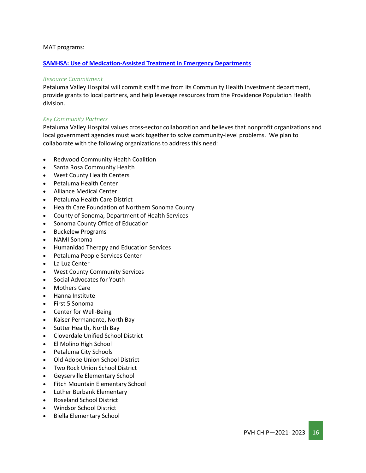#### MAT programs:

#### **[SAMHSA: Use of Medication-Assisted Treatment in Emergency Departments](https://store.samhsa.gov/sites/default/files/SAMHSA_Digital_Download/pep21-pl-guide-5.pdf)**

#### *Resource Commitment*

Petaluma Valley Hospital will commit staff time from its Community Health Investment department, provide grants to local partners, and help leverage resources from the Providence Population Health division.

#### *Key Community Partners*

Petaluma Valley Hospital values cross-sector collaboration and believes that nonprofit organizations and local government agencies must work together to solve community-level problems. We plan to collaborate with the following organizations to address this need:

- Redwood Community Health Coalition
- Santa Rosa Community Health
- West County Health Centers
- Petaluma Health Center
- Alliance Medical Center
- Petaluma Health Care District
- Health Care Foundation of Northern Sonoma County
- County of Sonoma, Department of Health Services
- Sonoma County Office of Education
- Buckelew Programs
- NAMI Sonoma
- Humanidad Therapy and Education Services
- Petaluma People Services Center
- La Luz Center
- West County Community Services
- Social Advocates for Youth
- Mothers Care
- Hanna Institute
- First 5 Sonoma
- Center for Well-Being
- Kaiser Permanente, North Bay
- Sutter Health, North Bay
- Cloverdale Unified School District
- El Molino High School
- Petaluma City Schools
- Old Adobe Union School District
- Two Rock Union School District
- Geyserville Elementary School
- Fitch Mountain Elementary School
- Luther Burbank Elementary
- Roseland School District
- Windsor School District
- Biella Elementary School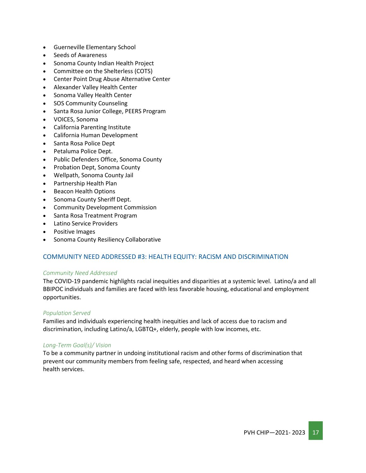- Guerneville Elementary School
- Seeds of Awareness
- Sonoma County Indian Health Project
- Committee on the Shelterless (COTS)
- Center Point Drug Abuse Alternative Center
- Alexander Valley Health Center
- Sonoma Valley Health Center
- SOS Community Counseling
- Santa Rosa Junior College, PEERS Program
- VOICES, Sonoma
- California Parenting Institute
- California Human Development
- Santa Rosa Police Dept
- Petaluma Police Dept.
- Public Defenders Office, Sonoma County
- Probation Dept, Sonoma County
- Wellpath, Sonoma County Jail
- Partnership Health Plan
- Beacon Health Options
- Sonoma County Sheriff Dept.
- Community Development Commission
- Santa Rosa Treatment Program
- Latino Service Providers
- Positive Images
- Sonoma County Resiliency Collaborative

#### COMMUNITY NEED ADDRESSED #3: HEALTH EQUITY: RACISM AND DISCRIMINATION

#### *Community Need Addressed*

The COVID-19 pandemic highlights racial inequities and disparities at a systemic level. Latino/a and all BBIPOC individuals and families are faced with less favorable housing, educational and employment opportunities.

#### *Population Served*

Families and individuals experiencing health inequities and lack of access due to racism and discrimination, including Latino/a, LGBTQ+, elderly, people with low incomes, etc.

#### *Long-Term Goal(s)/ Vision*

To be a community partner in undoing institutional racism and other forms of discrimination that prevent our community members from feeling safe, respected, and heard when accessing health services.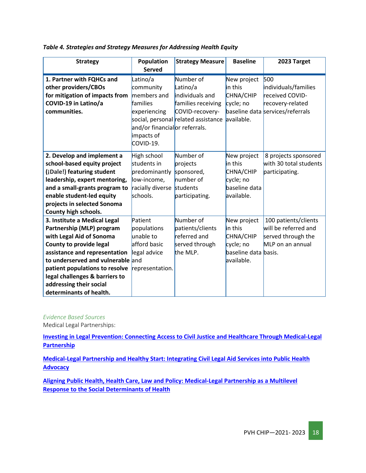| <b>Strategy</b>                                                                                                                                                                                                                                                                                                  | Population                                                                                                                                    | <b>Strategy Measure</b>                                                                                                  | <b>Baseline</b>                                                                        | 2023 Target                                                                                            |
|------------------------------------------------------------------------------------------------------------------------------------------------------------------------------------------------------------------------------------------------------------------------------------------------------------------|-----------------------------------------------------------------------------------------------------------------------------------------------|--------------------------------------------------------------------------------------------------------------------------|----------------------------------------------------------------------------------------|--------------------------------------------------------------------------------------------------------|
| 1. Partner with FQHCs and<br>other providers/CBOs<br>for mitigation of impacts from<br>COVID-19 in Latino/a<br>communities.                                                                                                                                                                                      | <b>Served</b><br>Latino/a<br>community<br>members and<br>families<br>experiencing<br>and/or financialor referrals.<br>impacts of<br>COVID-19. | Number of<br>Latino/a<br>individuals and<br>families receiving<br>COVID-recovery-<br>social, personal related assistance | New project<br>in this<br>CHNA/CHIP<br>cycle; no<br>available.                         | 500<br>individuals/families<br>received COVID-<br>recovery-related<br>baseline data services/referrals |
| 2. Develop and implement a<br>school-based equity project<br>(¡Dale!) featuring student<br>leadership, expert mentoring,<br>and a small-grants program to<br>enable student-led equity<br>projects in selected Sonoma<br>County high schools.                                                                    | High school<br>students in<br>predominantly<br>low-income,<br>racially diverse<br>schools.                                                    | Number of<br>projects<br>sponsored,<br>number of<br>students<br>participating.                                           | New project<br>in this<br>CHNA/CHIP<br>cycle; no<br>baseline data<br>available.        | 8 projects sponsored<br>with 30 total students<br>participating.                                       |
| 3. Institute a Medical Legal<br>Partnership (MLP) program<br>with Legal Aid of Sonoma<br>County to provide legal<br>assistance and representation<br>to underserved and vulnerable and<br>patient populations to resolve<br>legal challenges & barriers to<br>addressing their social<br>determinants of health. | Patient<br>populations<br>unable to<br>afford basic<br>legal advice<br>representation.                                                        | Number of<br>patients/clients<br>referred and<br>served through<br>the MLP.                                              | New project<br>in this<br>CHNA/CHIP<br>cycle; no<br>baseline data basis.<br>available. | 100 patients/clients<br>will be referred and<br>served through the<br>MLP on an annual                 |

#### *Table 4. Strategies and Strategy Measures for Addressing Health Equity*

#### *Evidence Based Sources*

Medical Legal Partnerships:

**[Investing in Legal Prevention: Connecting Access to Civil Justice and Healthcare Through Medical-Legal](https://www.tandfonline.com/doi/abs/10.1080/01947648.2014.884430?journalCode=ulgm20)  [Partnership](https://www.tandfonline.com/doi/abs/10.1080/01947648.2014.884430?journalCode=ulgm20)**

**[Medical-Legal Partnership and Healthy Start: Integrating Civil Legal Aid Services into Public Health](https://www.tandfonline.com/doi/full/10.1080/01947648.2014.885333?src=recsys)  [Advocacy](https://www.tandfonline.com/doi/full/10.1080/01947648.2014.885333?src=recsys)**

**[Aligning Public Health, Health Care, Law and Policy: Medical-Legal Partnership as a Multilevel](https://heinonline.org/HOL/LandingPage?handle=hein.journals/jhbio8&div=17&id=&page=)  [Response to the Social Determinants of Health](https://heinonline.org/HOL/LandingPage?handle=hein.journals/jhbio8&div=17&id=&page=)**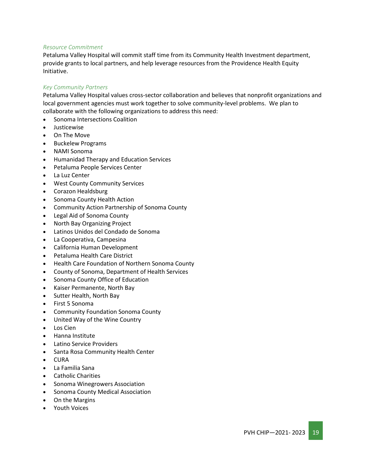#### *Resource Commitment*

Petaluma Valley Hospital will commit staff time from its Community Health Investment department, provide grants to local partners, and help leverage resources from the Providence Health Equity Initiative.

#### *Key Community Partners*

Petaluma Valley Hospital values cross-sector collaboration and believes that nonprofit organizations and local government agencies must work together to solve community-level problems. We plan to collaborate with the following organizations to address this need:

- Sonoma Intersections Coalition
- Justicewise
- On The Move
- Buckelew Programs
- NAMI Sonoma
- Humanidad Therapy and Education Services
- Petaluma People Services Center
- La Luz Center
- West County Community Services
- Corazon Healdsburg
- Sonoma County Health Action
- Community Action Partnership of Sonoma County
- Legal Aid of Sonoma County
- North Bay Organizing Project
- Latinos Unidos del Condado de Sonoma
- La Cooperativa, Campesina
- California Human Development
- Petaluma Health Care District
- Health Care Foundation of Northern Sonoma County
- County of Sonoma, Department of Health Services
- Sonoma County Office of Education
- Kaiser Permanente, North Bay
- Sutter Health, North Bay
- First 5 Sonoma
- Community Foundation Sonoma County
- United Way of the Wine Country
- Los Cien
- Hanna Institute
- Latino Service Providers
- Santa Rosa Community Health Center
- CURA
- La Familia Sana
- Catholic Charities
- Sonoma Winegrowers Association
- Sonoma County Medical Association
- On the Margins
- Youth Voices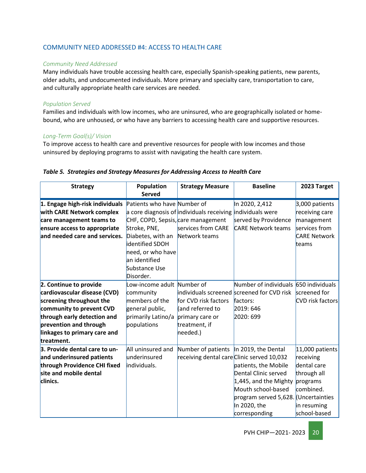#### COMMUNITY NEED ADDRESSED #4: ACCESS TO HEALTH CARE

#### *Community Need Addressed*

Many individuals have trouble accessing health care, especially Spanish-speaking patients, new parents, older adults, and undocumented individuals. More primary and specialty care, transportation to care, and culturally appropriate health care services are needed.

#### *Population Served*

Families and individuals with low incomes, who are uninsured, who are geographically isolated or homebound, who are unhoused, or who have any barriers to accessing health care and supportive resources.

#### *Long-Term Goal(s)/ Vision*

To improve access to health care and preventive resources for people with low incomes and those uninsured by deploying programs to assist with navigating the health care system.

| <b>Strategy</b>                 | Population<br><b>Served</b>        | <b>Strategy Measure</b>                                           | <b>Baseline</b>                            | 2023 Target             |
|---------------------------------|------------------------------------|-------------------------------------------------------------------|--------------------------------------------|-------------------------|
| 1. Engage high-risk individuals | Patients who have Number of        |                                                                   | In 2020, 2,412                             | 3,000 patients          |
| with CARE Network complex       |                                    | $\alpha$ core diagnosis of individuals receiving individuals were |                                            | receiving care          |
| care management teams to        | CHF, COPD, Sepsis, care management |                                                                   | served by Providence                       | management              |
| ensure access to appropriate    | Stroke, PNE,                       | services from CARE                                                | <b>CARE Network teams</b>                  | services from           |
| and needed care and services.   | Diabetes, with an Network teams    |                                                                   |                                            | <b>CARE Network</b>     |
|                                 | identified SDOH                    |                                                                   |                                            | teams                   |
|                                 | need, or who have                  |                                                                   |                                            |                         |
|                                 | an identified                      |                                                                   |                                            |                         |
|                                 | Substance Use                      |                                                                   |                                            |                         |
|                                 | Disorder.                          |                                                                   |                                            |                         |
| 2. Continue to provide          | Low-income adult Number of         |                                                                   | Number of individuals 650 individuals      |                         |
| cardiovascular disease (CVD)    | community                          |                                                                   | individuals screened screened for CVD risk | screened for            |
| screening throughout the        | members of the                     | for CVD risk factors                                              | factors:                                   | <b>CVD</b> risk factors |
| community to prevent CVD        | general public,                    | (and referred to                                                  | 2019: 646                                  |                         |
| through early detection and     | primarily Latino/a                 | primary care or                                                   | 2020: 699                                  |                         |
| prevention and through          | populations                        | treatment, if                                                     |                                            |                         |
| linkages to primary care and    |                                    | needed.)                                                          |                                            |                         |
| treatment.                      |                                    |                                                                   |                                            |                         |
| 3. Provide dental care to un-   | All uninsured and                  | Number of patients   In 2019, the Dental                          |                                            | 11,000 patients         |
| and underinsured patients       | underinsured                       | receiving dental care Clinic served 10,032                        |                                            | receiving               |
| through Providence CHI fixed    | individuals.                       |                                                                   | patients, the Mobile                       | dental care             |
| site and mobile dental          |                                    |                                                                   | Dental Clinic served                       | through all             |
| clinics.                        |                                    |                                                                   | $1,445$ , and the Mighty                   | programs                |
|                                 |                                    |                                                                   | Mouth school-based                         | combined.               |
|                                 |                                    |                                                                   | program served 5,628. (Uncertainties       |                         |
|                                 |                                    |                                                                   | In 2020, the                               | in resuming             |
|                                 |                                    |                                                                   | corresponding                              | school-based            |

#### *Table 5. Strategies and Strategy Measures for Addressing Access to Health Care*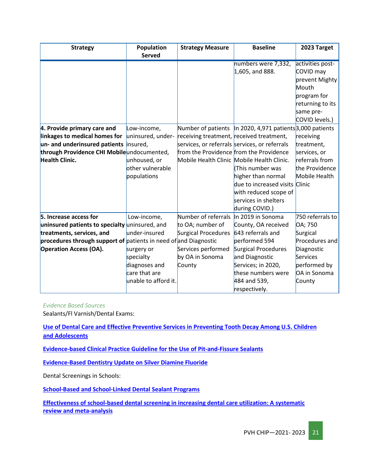| <b>Strategy</b>                                                  | Population           | <b>Strategy Measure</b>                       | <b>Baseline</b>                                             | 2023 Target      |
|------------------------------------------------------------------|----------------------|-----------------------------------------------|-------------------------------------------------------------|------------------|
|                                                                  | <b>Served</b>        |                                               |                                                             |                  |
|                                                                  |                      |                                               | numbers were 7,332,                                         | activities post- |
|                                                                  |                      |                                               | $1,605$ , and 888.                                          | COVID may        |
|                                                                  |                      |                                               |                                                             | prevent Mighty   |
|                                                                  |                      |                                               |                                                             | Mouth            |
|                                                                  |                      |                                               |                                                             | program for      |
|                                                                  |                      |                                               |                                                             | returning to its |
|                                                                  |                      |                                               |                                                             | same pre-        |
|                                                                  |                      |                                               |                                                             | COVID levels.)   |
| 4. Provide primary care and                                      | Low-income,          |                                               | Number of patients   In 2020, 4,971 patients 3,000 patients |                  |
| linkages to medical homes for                                    | uninsured, under-    | receiving treatment, received treatment,      |                                                             | receiving        |
| un- and underinsured patients insured,                           |                      | services, or referrals services, or referrals |                                                             | treatment,       |
| through Providence CHI Mobileundocumented,                       |                      | from the Providence from the Providence       |                                                             | services, or     |
| <b>Health Clinic.</b>                                            | unhoused, or         |                                               | Mobile Health Clinic Mobile Health Clinic.                  | referrals from   |
|                                                                  | other vulnerable     |                                               | This number was                                             | the Providence   |
|                                                                  | populations          |                                               | higher than normal                                          | Mobile Health    |
|                                                                  |                      |                                               | due to increased visits Clinic                              |                  |
|                                                                  |                      |                                               | with reduced scope of                                       |                  |
|                                                                  |                      |                                               | services in shelters                                        |                  |
|                                                                  |                      |                                               | during COVID.)                                              |                  |
| 5. Increase access for                                           | Low-income,          | Number of referrals                           | In 2019 in Sonoma                                           | 750 referrals to |
| uninsured patients to specialty uninsured, and                   |                      | to OA; number of                              | County, OA received                                         | OA; 750          |
| treatments, services, and                                        | under-insured        | Surgical Procedures                           | 643 referrals and                                           | Surgical         |
| procedures through support of patients in need of and Diagnostic |                      |                                               | performed 594                                               | Procedures and   |
| <b>Operation Access (OA).</b>                                    | surgery or           | Services performed                            | Surgical Procedures                                         | Diagnostic       |
|                                                                  | specialty            | by OA in Sonoma                               | and Diagnostic                                              | Services         |
|                                                                  | diagnoses and        | County                                        | Services; in 2020,                                          | performed by     |
|                                                                  | care that are        |                                               | these numbers were                                          | OA in Sonoma     |
|                                                                  | unable to afford it. |                                               | 484 and 539,                                                | County           |
|                                                                  |                      |                                               | respectively.                                               |                  |

*Evidence Based Sources*

Sealants/Fl Varnish/Dental Exams:

**Use of Dental Care and Effective Preventive [Services in Preventing Tooth Decay Among U.S. Children](https://www.cdc.gov/mmwr/preview/mmwrhtml/su6302a9.htm)  [and Adolescents](https://www.cdc.gov/mmwr/preview/mmwrhtml/su6302a9.htm)**

**[Evidence-based Clinical Practice Guideline for the Use of Pit-and-Fissure Sealants](https://www.aapd.org/assets/1/7/G_EBD-Sealants1.PDF)**

**[Evidence-Based Dentistry Update on Silver Diamine Fluoride](https://pubmed.ncbi.nlm.nih.gov/30447792/)**

Dental Screenings in Schools:

**[School-Based and School-Linked Dental Sealant Programs](https://www.cdc.gov/oralhealth/funded_programs/preventive-interventions/school.htm)**

**[Effectiveness of school-based dental screening in increasing dental care utilization: A systematic](https://pubmed.ncbi.nlm.nih.gov/30900669/)  [review and meta-analysis](https://pubmed.ncbi.nlm.nih.gov/30900669/)**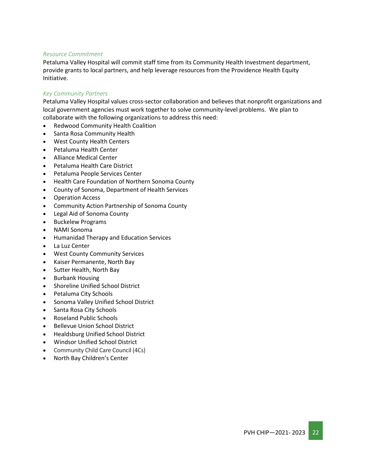#### *Resource Commitment*

Petaluma Valley Hospital will commit staff time from its Community Health Investment department, provide grants to local partners, and help leverage resources from the Providence Health Equity Initiative.

#### *Key Community Partners*

Petaluma Valley Hospital values cross-sector collaboration and believes that nonprofit organizations and local government agencies must work together to solve community-level problems. We plan to collaborate with the following organizations to address this need:

- Redwood Community Health Coalition
- Santa Rosa Community Health
- West County Health Centers
- Petaluma Health Center
- Alliance Medical Center
- Petaluma Health Care District
- Petaluma People Services Center
- Health Care Foundation of Northern Sonoma County
- County of Sonoma, Department of Health Services
- Operation Access
- Community Action Partnership of Sonoma County
- Legal Aid of Sonoma County
- Buckelew Programs
- NAMI Sonoma
- Humanidad Therapy and Education Services
- La Luz Center
- West County Community Services
- Kaiser Permanente, North Bay
- Sutter Health, North Bay
- Burbank Housing
- Shoreline Unified School District
- Petaluma City Schools
- Sonoma Valley Unified School District
- Santa Rosa City Schools
- Roseland Public Schools
- Bellevue Union School District
- Healdsburg Unified School District
- Windsor Unified School District
- Community Child Care Council (4Cs)
- North Bay Children's Center